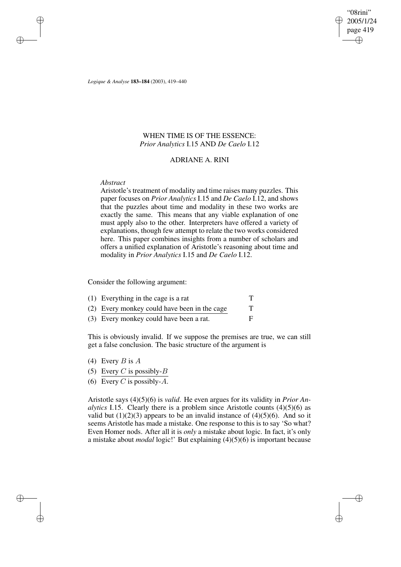"08rini" 2005/1/24 page 419 ✐ ✐

✐

✐

*Logique & Analyse* **183–184** (2003), 419–440

# WHEN TIME IS OF THE ESSENCE: *Prior Analytics* I.15 AND *De Caelo* I.12

## ADRIANE A. RINI

## *Abstract*

✐

✐

✐

✐

Aristotle's treatment of modality and time raises many puzzles. This paper focuses on *Prior Analytics* I.15 and *De Caelo* I.12, and shows that the puzzles about time and modality in these two works are exactly the same. This means that any viable explanation of one must apply also to the other. Interpreters have offered a variety of explanations, though few attempt to relate the two works considered here. This paper combines insights from a number of scholars and offers a unified explanation of Aristotle's reasoning about time and modality in *Prior Analytics* I.15 and *De Caelo* I.12.

Consider the following argument:

| $(1)$ Everything in the cage is a rat        |  |
|----------------------------------------------|--|
| (2) Every monkey could have been in the cage |  |
| (3) Every monkey could have been a rat.      |  |

This is obviously invalid. If we suppose the premises are true, we can still get a false conclusion. The basic structure of the argument is

- (4) Every  $B$  is  $A$
- (5) Every C is possibly- $B$
- (6) Every C is possibly- $A$ .

Aristotle says (4)(5)(6) is *valid*. He even argues for its validity in *Prior Analytics* I.15. Clearly there is a problem since Aristotle counts  $(4)(5)(6)$  as valid but  $(1)(2)(3)$  appears to be an invalid instance of  $(4)(5)(6)$ . And so it seems Aristotle has made a mistake. One response to this is to say 'So what? Even Homer nods. After all it is *only* a mistake about logic. In fact, it's only a mistake about *modal* logic!' But explaining (4)(5)(6) is important because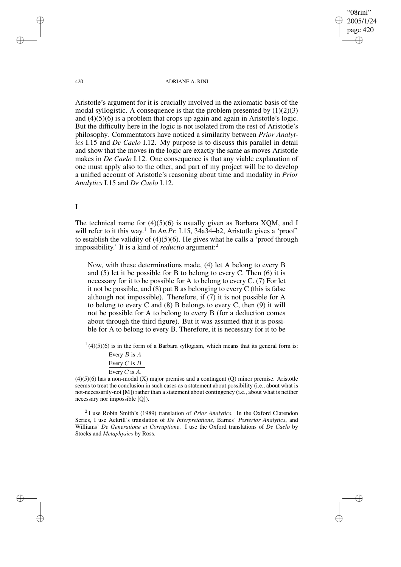"08rini" 2005/1/24 page 420 ✐ ✐

✐

✐

#### 420 ADRIANE A. RINI

Aristotle's argument for it is crucially involved in the axiomatic basis of the modal syllogistic. A consequence is that the problem presented by  $(1)(2)(3)$ and  $(4)(5)(6)$  is a problem that crops up again and again in Aristotle's logic. But the difficulty here in the logic is not isolated from the rest of Aristotle's philosophy. Commentators have noticed a similarity between *Prior Analytics* I.15 and *De Caelo* I.12. My purpose is to discuss this parallel in detail and show that the moves in the logic are exactly the same as moves Aristotle makes in *De Caelo* I.12. One consequence is that any viable explanation of one must apply also to the other, and part of my project will be to develop a unified account of Aristotle's reasoning about time and modality in *Prior Analytics* I.15 and *De Caelo* I.12.

# I

The technical name for  $(4)(5)(6)$  is usually given as Barbara XQM, and I will refer to it this way.<sup>1</sup> In *An.Pr.* I.15, 34a34–b2, Aristotle gives a 'proof' to establish the validity of  $(4)(5)(6)$ . He gives what he calls a 'proof through impossibility.' It is a kind of *reductio* argument:<sup>2</sup>

Now, with these determinations made, (4) let A belong to every B and (5) let it be possible for B to belong to every C. Then (6) it is necessary for it to be possible for A to belong to every C. (7) For let it not be possible, and (8) put B as belonging to every C (this is false although not impossible). Therefore, if (7) it is not possible for A to belong to every C and (8) B belongs to every C, then (9) it will not be possible for A to belong to every B (for a deduction comes about through the third figure). But it was assumed that it is possible for A to belong to every B. Therefore, it is necessary for it to be

 $1(4)(5)(6)$  is in the form of a Barbara syllogism, which means that its general form is:

| Every $B$ is $A$ |
|------------------|
| Every C is $B$   |
| Every C is $A$ . |

(4)(5)(6) has a non-modal (X) major premise and a contingent (Q) minor premise. Aristotle seems to treat the conclusion in such cases as a statement about possibility (i.e., about what is not-necessarily-not [M]) rather than a statement about contingency (i.e., about what is neither necessary nor impossible [Q]).

2 I use Robin Smith's (1989) translation of *Prior Analytics*. In the Oxford Clarendon Series, I use Ackrill's translation of *De Interpretatione*, Barnes' *Posterior Analytics*, and Williams' *De Generatione et Corruptione*. I use the Oxford translations of *De Caelo* by Stocks and *Metaphysics* by Ross.

✐

✐

✐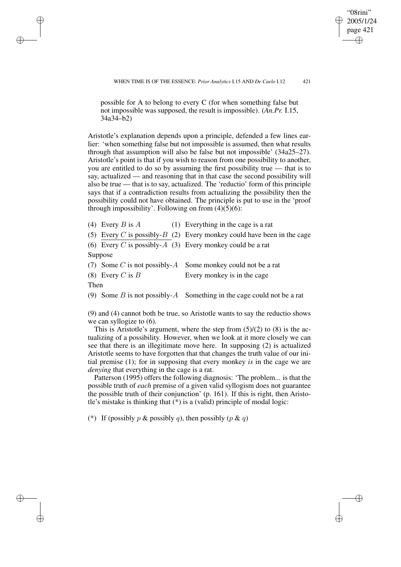WHEN TIME IS OF THE ESSENCE: *Prior Analytics* I.15 AND *De Caelo* I.12 421

"08rini" 2005/1/24 page 421 ✐ ✐

✐

✐

possible for A to belong to every C (for when something false but not impossible was supposed, the result is impossible). (*An.Pr.* I.15, 34a34–b2)

Aristotle's explanation depends upon a principle, defended a few lines earlier: 'when something false but not impossible is assumed, then what results through that assumption will also be false but not impossible' (34a25–27). Aristotle's point is that if you wish to reason from one possibility to another, you are entitled to do so by assuming the first possibility true — that is to say, actualized — and reasoning that in that case the second possibility will also be true — that is to say, actualized. The 'reductio' form of this principle says that if a contradiction results from actualizing the possibility then the possibility could not have obtained. The principle is put to use in the 'proof through impossibility'. Following on from  $(4)(5)(6)$ :

|                    | (4) Every B is A (1) Everything in the cage is a rat                     |
|--------------------|--------------------------------------------------------------------------|
|                    | (5) Every C is possibly- $B(2)$ Every monkey could have been in the cage |
|                    | (6) Every C is possibly-A (3) Every monkey could be a rat                |
| Suppose            |                                                                          |
|                    | (7) Some C is not possibly- $A$ Some monkey could not be a rat           |
| (8) Every C is $B$ | Every monkey is in the cage                                              |

Then

✐

✐

✐

✐

(9) Some B is not possibly-A Something in the cage could not be a rat

(9) and (4) cannot both be true, so Aristotle wants to say the reductio shows we can syllogize to  $(6)$ .

This is Aristotle's argument, where the step from  $(5)/(2)$  to  $(8)$  is the actualizing of a possibility. However, when we look at it more closely we can see that there is an illegitimate move here. In supposing (2) is actualized Aristotle seems to have forgotten that that changes the truth value of our initial premise (1); for in supposing that every monkey *is* in the cage we are *denying* that everything in the cage is a rat.

Patterson (1995) offers the following diagnosis: 'The problem... is that the possible truth of *each* premise of a given valid syllogism does not guarantee the possible truth of their conjunction' (p. 161). If this is right, then Aristotle's mistake is thinking that (\*) is a (valid) principle of modal logic:

(\*) If (possibly p & possibly q), then possibly  $(p \& q)$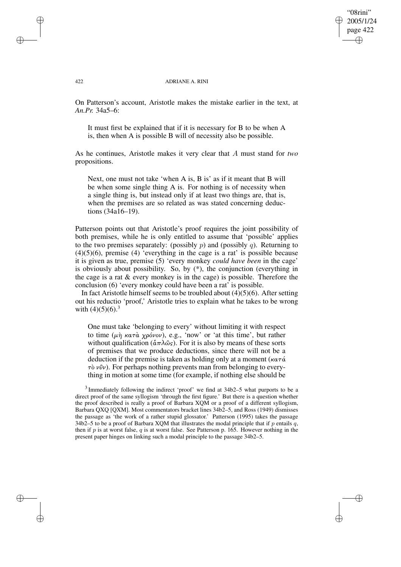## "08rini" 2005/1/24 page 422 ✐ ✐

✐

✐

#### 422 ADRIANE A. RINI

On Patterson's account, Aristotle makes the mistake earlier in the text, at *An.Pr.* 34a5–6:

It must first be explained that if it is necessary for B to be when A is, then when A is possible B will of necessity also be possible.

As he continues, Aristotle makes it very clear that A must stand for *two* propositions.

Next, one must not take 'when A is, B is' as if it meant that B will be when some single thing A is. For nothing is of necessity when a single thing is, but instead only if at least two things are, that is, when the premises are so related as was stated concerning deductions (34a16–19).

Patterson points out that Aristotle's proof requires the joint possibility of both premises, while he is only entitled to assume that 'possible' applies to the two premises separately: (possibly  $p$ ) and (possibly  $q$ ). Returning to  $(4)(5)(6)$ , premise  $(4)$  'everything in the cage is a rat' is possible because it is given as true, premise (5) 'every monkey *could have been* in the cage' is obviously about possibility. So, by (\*), the conjunction (everything in the cage is a rat  $&$  every monkey is in the cage) is possible. Therefore the conclusion (6) 'every monkey could have been a rat' is possible.

In fact Aristotle himself seems to be troubled about  $\overline{(4)}(5)(6)$ . After setting out his reductio 'proof,' Aristotle tries to explain what he takes to be wrong with  $(4)(5)(6)$ .<sup>3</sup>

One must take 'belonging to every' without limiting it with respect to time (μη κατα χρόνον), e.g., 'now' or 'at this time', but rather without qualification ( $\hat{\alpha} \pi \lambda \hat{\omega}_s$ ). For it is also by means of these sorts of premises that we produce deductions, since there will not be a deduction if the premise is taken as holding only at a moment ( $\kappa \alpha \tau \alpha'$ )  $\tau\delta v\hat{v}v$ ). For perhaps nothing prevents man from belonging to everything in motion at some time (for example, if nothing else should be

<sup>3</sup> Immediately following the indirect 'proof' we find at 34b2–5 what purports to be a direct proof of the same syllogism 'through the first figure.' But there is a question whether the proof described is really a proof of Barbara XQM or a proof of a different syllogism, Barbara QXQ [QXM]. Most commentators bracket lines 34b2–5, and Ross (1949) dismisses the passage as 'the work of a rather stupid glossator.' Patterson (1995) takes the passage 34b2–5 to be a proof of Barbara XQM that illustrates the modal principle that if p entails q, then if p is at worst false, q is at worst false. See Patterson p. 165. However nothing in the present paper hinges on linking such a modal principle to the passage 34b2–5.

✐

✐

✐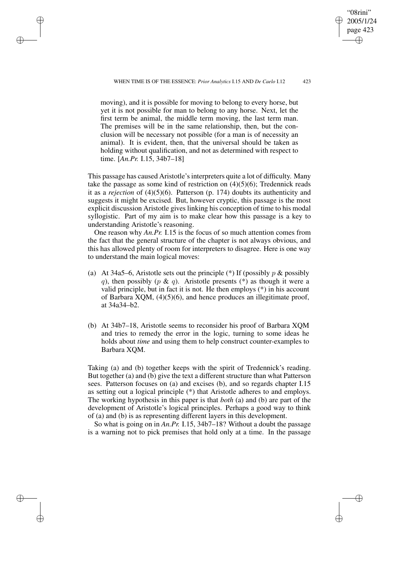"08rini" 2005/1/24 page 423

✐

✐

✐

✐

moving), and it is possible for moving to belong to every horse, but yet it is not possible for man to belong to any horse. Next, let the first term be animal, the middle term moving, the last term man. The premises will be in the same relationship, then, but the conclusion will be necessary not possible (for a man is of necessity an animal). It is evident, then, that the universal should be taken as holding without qualification, and not as determined with respect to time. [*An.Pr.* I.15, 34b7–18]

✐

✐

✐

✐

This passage has caused Aristotle's interpreters quite a lot of difficulty. Many take the passage as some kind of restriction on  $(4)(5)(6)$ ; Tredennick reads it as a *rejection* of (4)(5)(6). Patterson (p. 174) doubts its authenticity and suggests it might be excised. But, however cryptic, this passage is the most explicit discussion Aristotle gives linking his conception of time to his modal syllogistic. Part of my aim is to make clear how this passage is a key to understanding Aristotle's reasoning.

One reason why *An.Pr.* I.15 is the focus of so much attention comes from the fact that the general structure of the chapter is not always obvious, and this has allowed plenty of room for interpreters to disagree. Here is one way to understand the main logical moves:

- (a) At 34a5–6, Aristotle sets out the principle (\*) If (possibly  $p \&$  possibly q), then possibly (p & q). Aristotle presents (\*) as though it were a valid principle, but in fact it is not. He then employs (\*) in his account of Barbara XQM, (4)(5)(6), and hence produces an illegitimate proof, at 34a34–b2.
- (b) At 34b7–18, Aristotle seems to reconsider his proof of Barbara XQM and tries to remedy the error in the logic, turning to some ideas he holds about *time* and using them to help construct counter-examples to Barbara XQM.

Taking (a) and (b) together keeps with the spirit of Tredennick's reading. But together (a) and (b) give the text a different structure than what Patterson sees. Patterson focuses on (a) and excises (b), and so regards chapter I.15 as setting out a logical principle (\*) that Aristotle adheres to and employs. The working hypothesis in this paper is that *both* (a) and (b) are part of the development of Aristotle's logical principles. Perhaps a good way to think of (a) and (b) is as representing different layers in this development.

So what is going on in *An.Pr.* I.15, 34b7–18? Without a doubt the passage is a warning not to pick premises that hold only at a time. In the passage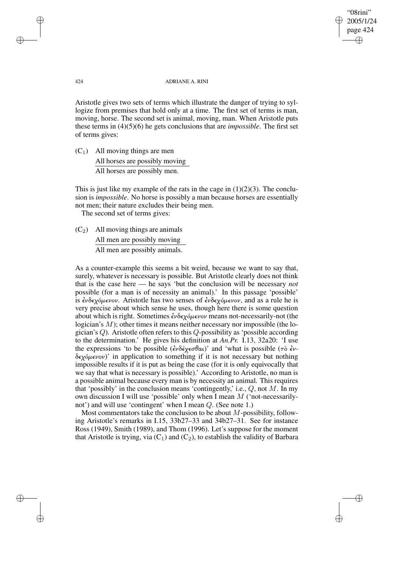"08rini" 2005/1/24 page 424 ✐ ✐

✐

✐

#### 424 ADRIANE A. RINI

Aristotle gives two sets of terms which illustrate the danger of trying to syllogize from premises that hold only at a time. The first set of terms is man, moving, horse. The second set is animal, moving, man. When Aristotle puts these terms in (4)(5)(6) he gets conclusions that are *impossible*. The first set of terms gives:

 $(C_1)$  All moving things are men All horses are possibly moving All horses are possibly men.

This is just like my example of the rats in the cage in  $(1)(2)(3)$ . The conclusion is *impossible*. No horse is possibly a man because horses are essentially not men; their nature excludes their being men.

The second set of terms gives:

 $(C_2)$  All moving things are animals All men are possibly moving All men are possibly animals.

As a counter-example this seems a bit weird, because we want to say that, surely, whatever is necessary is possible. But Aristotle clearly does not think that is the case here — he says 'but the conclusion will be necessary *not* possible (for a man is of necessity an animal).' In this passage 'possible' is  $\epsilon \nu \delta \epsilon \chi \delta \mu \epsilon \nu \nu$ . Aristotle has two senses of  $\epsilon \nu \delta \epsilon \chi \delta \mu \epsilon \nu \nu$ , and as a rule he is very precise about which sense he uses, though here there is some question about which is right. Sometimes  $\epsilon \nu \delta \epsilon \chi \delta \mu \epsilon \nu \nu \nu$  means not-necessarily-not (the logician's  $M$ ); other times it means neither necessary nor impossible (the logician's Q). Aristotle often refers to this Q-possibility as 'possible according to the determination.' He gives his definition at *An.Pr.* I.13, 32a20: 'I use the expressions 'to be possible  $(\partial \partial \xi)(\partial \partial \theta)$ ' and 'what is possible (τὸ ἐν- $\delta \epsilon \chi \delta \mu \epsilon \nu \omega$ )' in application to something if it is not necessary but nothing impossible results if it is put as being the case (for it is only equivocally that we say that what is necessary is possible).' According to Aristotle, no man is a possible animal because every man is by necessity an animal. This requires that 'possibly' in the conclusion means 'contingently,' i.e.,  $Q$ , not  $M$ . In my own discussion I will use 'possible' only when I mean M ('not-necessarilynot') and will use 'contingent' when I mean Q. (See note 1.)

Most commentators take the conclusion to be about  $M$ -possibility, following Aristotle's remarks in I.15, 33b27–33 and 34b27–31. See for instance Ross (1949), Smith (1989), and Thom (1996). Let's suppose for the moment that Aristotle is trying, via  $(C_1)$  and  $(C_2)$ , to establish the validity of Barbara

✐

✐

✐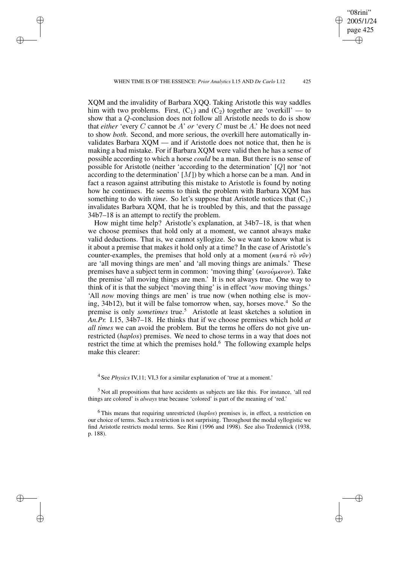WHEN TIME IS OF THE ESSENCE: *Prior Analytics* I.15 AND *De Caelo* I.12 425

✐

✐

✐

✐

"08rini" 2005/1/24 page 425

✐

✐

✐

✐

XQM and the invalidity of Barbara XQQ. Taking Aristotle this way saddles him with two problems. First,  $(C_1)$  and  $(C_2)$  together are 'overkill' — to show that a Q-conclusion does not follow all Aristotle needs to do is show that *either* 'every C cannot be A' *or* 'every C must be A.' He does not need to show *both*. Second, and more serious, the overkill here automatically invalidates Barbara XQM — and if Aristotle does not notice that, then he is making a bad mistake. For if Barbara XQM were valid then he has a sense of possible according to which a horse *could* be a man. But there is no sense of possible for Aristotle (neither 'according to the determination' [Q] nor 'not according to the determination'  $[M]$ ) by which a horse can be a man. And in fact a reason against attributing this mistake to Aristotle is found by noting how he continues. He seems to think the problem with Barbara XQM has something to do with *time*. So let's suppose that Aristotle notices that  $(C_1)$ invalidates Barbara XQM, that he is troubled by this, and that the passage 34b7–18 is an attempt to rectify the problem.

How might time help? Aristotle's explanation, at 34b7–18, is that when we choose premises that hold only at a moment, we cannot always make valid deductions. That is, we cannot syllogize. So we want to know what is it about a premise that makes it hold only at a time? In the case of Aristotle's counter-examples, the premises that hold only at a moment (κατά τὸ νῦν) are 'all moving things are men' and 'all moving things are animals.' These premises have a subject term in common: 'moving thing' (κινούμενον). Take the premise 'all moving things are men.' It is not always true. One way to think of it is that the subject 'moving thing' is in effect '*now* moving things.' 'All *now* moving things are men' is true now (when nothing else is moving,  $34b12$ ), but it will be false tomorrow when, say, horses move.<sup>4</sup> So the premise is only *sometimes* true.<sup>5</sup> Aristotle at least sketches a solution in *An.Pr.* I.15, 34b7–18. He thinks that if we choose premises which hold *at all times* we can avoid the problem. But the terms he offers do not give unrestricted (*haplos*) premises. We need to chose terms in a way that does not restrict the time at which the premises hold.<sup>6</sup> The following example helps make this clearer:

<sup>4</sup> See *Physics* IV,11; VI,3 for a similar explanation of 'true at a moment.'

<sup>5</sup> Not all propositions that have accidents as subjects are like this. For instance, 'all red things are colored' is *always* true because 'colored' is part of the meaning of 'red.'

<sup>6</sup> This means that requiring unrestricted (*haplos*) premises is, in effect, a restriction on our choice of terms. Such a restriction is not surprising. Throughout the modal syllogistic we find Aristotle restricts modal terms. See Rini (1996 and 1998). See also Tredennick (1938, p. 188).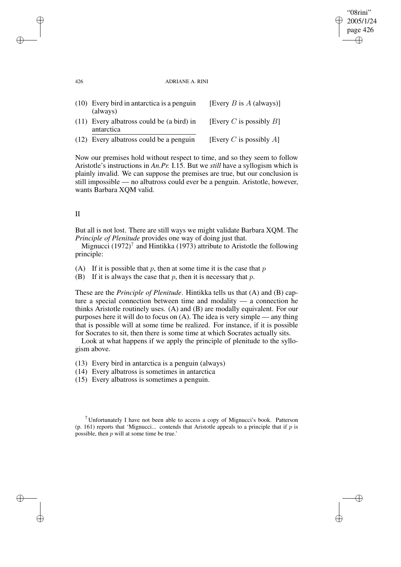#### 426 ADRIANE A. RINI

"08rini" 2005/1/24 page 426

✐

✐

✐

✐

| (10) Every bird in antarctica is a penguin<br>(always)    | [Every <i>B</i> is $A$ (always)] |
|-----------------------------------------------------------|----------------------------------|
| $(11)$ Every albatross could be (a bird) in<br>antarctica | [Every C is possibly $B$ ]       |
| (12) Every albatross could be a penguin                   | [Every C is possibly A]          |

Now our premises hold without respect to time, and so they seem to follow Aristotle's instructions in *An.Pr.* I.15. But we *still* have a syllogism which is plainly invalid. We can suppose the premises are true, but our conclusion is still impossible — no albatross could ever be a penguin. Aristotle, however, wants Barbara XQM valid.

## II

But all is not lost. There are still ways we might validate Barbara XQM. The *Principle of Plenitude* provides one way of doing just that.

Mignucci  $(1972)^7$  and Hintikka (1973) attribute to Aristotle the following principle:

(A) If it is possible that p, then at some time it is the case that  $p$ 

(B) If it is always the case that  $p$ , then it is necessary that  $p$ .

These are the *Principle of Plenitude*. Hintikka tells us that (A) and (B) capture a special connection between time and modality — a connection he thinks Aristotle routinely uses. (A) and (B) are modally equivalent. For our purposes here it will do to focus on (A). The idea is very simple — any thing that is possible will at some time be realized. For instance, if it is possible for Socrates to sit, then there is some time at which Socrates actually sits.

Look at what happens if we apply the principle of plenitude to the syllogism above.

(13) Every bird in antarctica is a penguin (always)

(14) Every albatross is sometimes in antarctica

(15) Every albatross is sometimes a penguin.

<sup>7</sup> Unfortunately I have not been able to access a copy of Mignucci's book. Patterson (p. 161) reports that 'Mignucci... contends that Aristotle appeals to a principle that if  $p$  is possible, then p will at some time be true.'

✐

✐

✐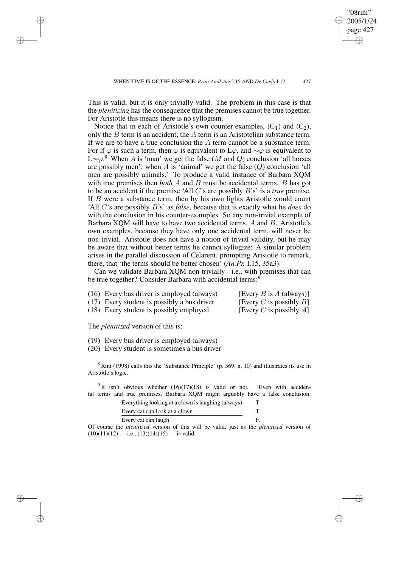"08rini" 2005/1/24 page 427

✐

✐

✐

✐

This is valid, but it is only trivially valid. The problem in this case is that the *plenitizing* has the consequence that the premises cannot be true together. For Aristotle this means there is no syllogism.

Notice that in each of Aristotle's own counter-examples,  $(C_1)$  and  $(C_2)$ , only the  $B$  term is an accident; the  $A$  term is an Aristotelian substance term. If we are to have a true conclusion the  $A$  term cannot be a substance term. For if  $\varphi$  is such a term, then  $\varphi$  is equivalent to L $\varphi$ , and  $\sim \varphi$  is equivalent to L∼ $\varphi$ .<sup>8</sup> When A is 'man' we get the false (M and Q) conclusion 'all horses are possibly men'; when  $A$  is 'animal' we get the false  $(Q)$  conclusion 'all men are possibly animals.' To produce a valid instance of Barbara XQM with true premises then *both* A and B must be accidental terms. B has got to be an accident if the premise 'All C's are possibly B's' is a *true* premise. If  $B$  were a substance term, then by his own lights Aristotle would count 'All C's are possibly B's' as *false*, because that is exactly what he *does* do with the conclusion in his counter-examples. So any non-trivial example of Barbara XQM will have to have two accidental terms, A and B. Aristotle's own examples, because they have only one accidental term, will never be non-trivial. Aristotle does not have a notion of trivial validity, but he may be aware that without better terms he cannot syllogize: A similar problem arises in the parallel discussion of Celarent, prompting Aristotle to remark, there, that 'the terms should be better chosen' (*An.Pr.* I.15, 35a3).

Can we validate Barbara XQM non-trivially - i.e., with premises that can be true together? Consider Barbara with accidental terms:<sup>9</sup>

| (16) Every bus driver is employed (always)  | [Every $B$ is $A$ (always)] |
|---------------------------------------------|-----------------------------|
| (17) Every student is possibly a bus driver | [Every C is possibly $B$ ]  |
| (18) Every student is possibly employed     | [Every C is possibly A]     |

The *plenitized* version of this is:

✐

✐

✐

✐

- (19) Every bus driver is employed (always)
- (20) Every student is sometimes a bus driver

 $8$  Rini (1998) calls this the 'Substance Principle' (p. 569, n. 10) and illustrates its use in Aristotle's logic.

<sup>9</sup> It isn't obvious whether  $(16)(17)(18)$  is valid or not. Even with accidental terms and true premises, Barbara XQM might arguably have a false conclusion:

| Everything looking at a clown is laughing (always) |  |
|----------------------------------------------------|--|
| Every cat can look at a clown                      |  |
| Every cat can laugh                                |  |

Of course the *plenitized* version of this will be valid, just as the *plenitized* version of  $(10)(11)(12)$  — i.e.,  $(13)(14)(15)$  — is valid.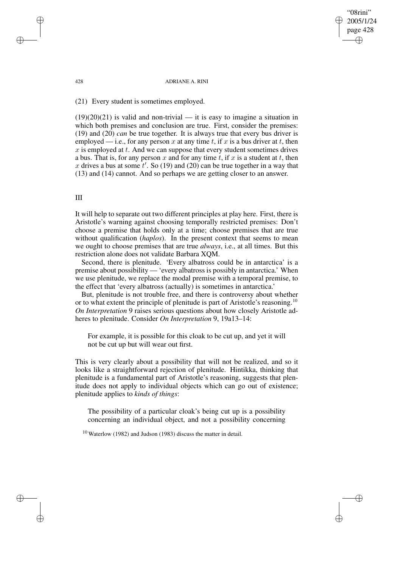"08rini" 2005/1/24 page 428 ✐ ✐

✐

✐

#### 428 ADRIANE A. RINI

(21) Every student is sometimes employed.

 $(19)(20)(21)$  is valid and non-trivial — it is easy to imagine a situation in which both premises and conclusion are true. First, consider the premises: (19) and (20) *can* be true together. It is always true that every bus driver is employed — i.e., for any person x at any time t, if x is a bus driver at t, then  $x$  is employed at  $t$ . And we can suppose that every student sometimes drives a bus. That is, for any person x and for any time t, if x is a student at t, then x drives a bus at some  $t'$ . So (19) and (20) can be true together in a way that (13) and (14) cannot. And so perhaps we are getting closer to an answer.

## III

It will help to separate out two different principles at play here. First, there is Aristotle's warning against choosing temporally restricted premises: Don't choose a premise that holds only at a time; choose premises that are true without qualification (*haplos*). In the present context that seems to mean we ought to choose premises that are true *always*, i.e., at all times. But this restriction alone does not validate Barbara XQM.

Second, there is plenitude. 'Every albatross could be in antarctica' is a premise about possibility — 'every albatross is possibly in antarctica.' When we use plenitude, we replace the modal premise with a temporal premise, to the effect that 'every albatross (actually) is sometimes in antarctica.'

But, plenitude is not trouble free, and there is controversy about whether or to what extent the principle of plenitude is part of Aristotle's reasoning.<sup>10</sup> *On Interpretation* 9 raises serious questions about how closely Aristotle adheres to plenitude. Consider *On Interpretation* 9, 19a13–14:

For example, it is possible for this cloak to be cut up, and yet it will not be cut up but will wear out first.

This is very clearly about a possibility that will not be realized, and so it looks like a straightforward rejection of plenitude. Hintikka, thinking that plenitude is a fundamental part of Aristotle's reasoning, suggests that plenitude does not apply to individual objects which can go out of existence; plenitude applies to *kinds of things*:

The possibility of a particular cloak's being cut up is a possibility concerning an individual object, and not a possibility concerning

<sup>10</sup> Waterlow (1982) and Judson (1983) discuss the matter in detail.

✐

✐

✐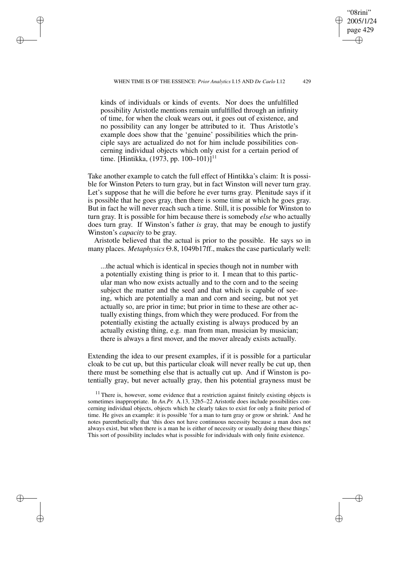✐

✐

✐

✐

"08rini" 2005/1/24 page 429

✐

✐

✐

✐

kinds of individuals or kinds of events. Nor does the unfulfilled possibility Aristotle mentions remain unfulfilled through an infinity of time, for when the cloak wears out, it goes out of existence, and no possibility can any longer be attributed to it. Thus Aristotle's example does show that the 'genuine' possibilities which the principle says are actualized do not for him include possibilities concerning individual objects which only exist for a certain period of time. [Hintikka,  $(1973, pp. 100-101)$ ]<sup>11</sup>

Take another example to catch the full effect of Hintikka's claim: It is possible for Winston Peters to turn gray, but in fact Winston will never turn gray. Let's suppose that he will die before he ever turns gray. Plenitude says if it is possible that he goes gray, then there is some time at which he goes gray. But in fact he will never reach such a time. Still, it is possible for Winston to turn gray. It is possible for him because there is somebody *else* who actually does turn gray. If Winston's father *is* gray, that may be enough to justify Winston's *capacity* to be gray.

Aristotle believed that the actual is prior to the possible. He says so in many places. *Metaphysics* Θ.8, 1049b17ff., makes the case particularly well:

...the actual which is identical in species though not in number with a potentially existing thing is prior to it. I mean that to this particular man who now exists actually and to the corn and to the seeing subject the matter and the seed and that which is capable of seeing, which are potentially a man and corn and seeing, but not yet actually so, are prior in time; but prior in time to these are other actually existing things, from which they were produced. For from the potentially existing the actually existing is always produced by an actually existing thing, e.g. man from man, musician by musician; there is always a first mover, and the mover already exists actually.

Extending the idea to our present examples, if it is possible for a particular cloak to be cut up, but this particular cloak will never really be cut up, then there must be something else that is actually cut up. And if Winston is potentially gray, but never actually gray, then his potential grayness must be

 $11$  There is, however, some evidence that a restriction against finitely existing objects is sometimes inappropriate. In *An.Pr.* A.13, 32b5–22 Aristotle does include possibilities concerning individual objects, objects which he clearly takes to exist for only a finite period of time. He gives an example: it is possible 'for a man to turn gray or grow or shrink.' And he notes parenthetically that 'this does not have continuous necessity because a man does not always exist, but when there is a man he is either of necessity or usually doing these things.' This sort of possibility includes what is possible for individuals with only finite existence.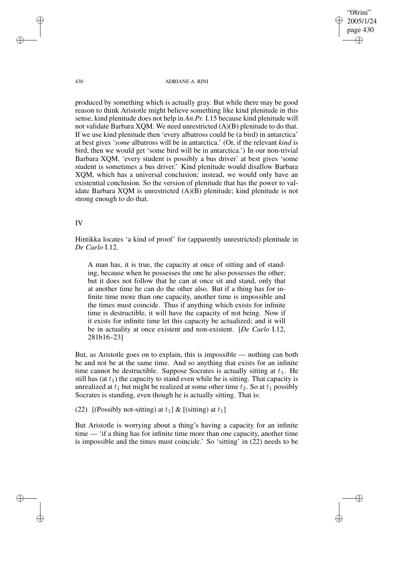430 ADRIANE A. RINI

"08rini" 2005/1/24 page 430

✐

✐

✐

✐

produced by something which is actually gray. But while there may be good reason to think Aristotle might believe something like kind plenitude in this sense, kind plenitude does not help in *An.Pr.* I.15 because kind plenitude will not validate Barbara XQM. We need unrestricted (A)(B) plenitude to do that. If we use kind plenitude then 'every albatross could be (a bird) in antarctica' at best gives '*some* albatross will be in antarctica.' (Or, if the relevant *kind* is bird, then we would get 'some bird will be in antarctica.') In our non-trivial Barbara XQM, 'every student is possibly a bus driver' at best gives 'some student is sometimes a bus driver.' Kind plenitude would disallow Barbara XQM, which has a universal conclusion; instead, we would only have an existential conclusion. So the version of plenitude that has the power to validate Barbara XQM is unrestricted (A)(B) plenitude; kind plenitude is not strong enough to do that.

## IV

Hintikka locates 'a kind of proof' for (apparently unrestricted) plenitude in *De Caelo* I.12.

A man has, it is true, the capacity at once of sitting and of standing, because when he possesses the one he also possesses the other; but it does not follow that he can at once sit and stand, only that at another time he can do the other also. But if a thing has for infinite time more than one capacity, another time is impossible and the times must coincide. Thus if anything which exists for infinite time is destructible, it will have the capacity of not being. Now if it exists for infinite time let this capacity be actualized; and it will be in actuality at once existent and non-existent. [*De Caelo* I.12, 281b16–23]

But, as Aristotle goes on to explain, this is impossible — nothing can both be and not be at the same time. And so anything that exists for an infinite time cannot be destructible. Suppose Socrates is actually sitting at  $t_1$ . He still has (at  $t_1$ ) the capacity to stand even while he is sitting. That capacity is unrealized at  $t_1$  but might be realized at some other time  $t_2$ . So at  $t_1$  possibly Socrates is standing, even though he is actually sitting. That is:

(22) [(Possibly not-sitting) at  $t_1$ ] & [(sitting) at  $t_1$ ]

But Aristotle is worrying about a thing's having a capacity for an infinite time — 'if a thing has for infinite time more than one capacity, another time is impossible and the times must coincide.' So 'sitting' in (22) needs to be

✐

✐

✐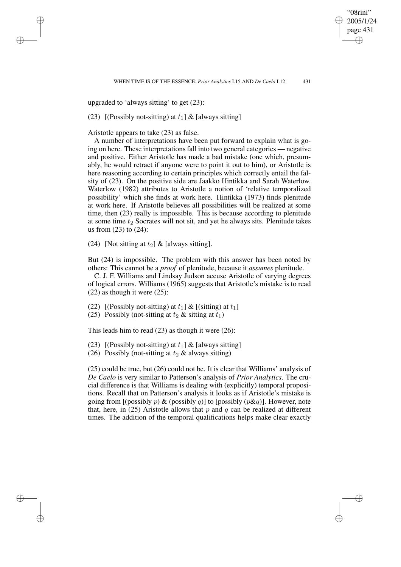"08rini" 2005/1/24 page 431

✐

✐

✐

✐

upgraded to 'always sitting' to get (23):

✐

✐

✐

✐

(23) [(Possibly not-sitting) at  $t_1$ ] & [always sitting]

Aristotle appears to take (23) as false.

A number of interpretations have been put forward to explain what is going on here. These interpretations fall into two general categories — negative and positive. Either Aristotle has made a bad mistake (one which, presumably, he would retract if anyone were to point it out to him), or Aristotle is here reasoning according to certain principles which correctly entail the falsity of (23). On the positive side are Jaakko Hintikka and Sarah Waterlow. Waterlow (1982) attributes to Aristotle a notion of 'relative temporalized possibility' which she finds at work here. Hintikka (1973) finds plenitude at work here. If Aristotle believes all possibilities will be realized at some time, then (23) really is impossible. This is because according to plenitude at some time  $t_2$  Socrates will not sit, and yet he always sits. Plenitude takes us from (23) to (24):

(24) [Not sitting at  $t_2$ ] & [always sitting].

But (24) is impossible. The problem with this answer has been noted by others: This cannot be a *proof* of plenitude, because it *assumes* plenitude.

C. J. F. Williams and Lindsay Judson accuse Aristotle of varying degrees of logical errors. Williams (1965) suggests that Aristotle's mistake is to read (22) as though it were (25):

(22) [(Possibly not-sitting) at  $t_1$ ] & [(sitting) at  $t_1$ ]

(25) Possibly (not-sitting at  $t_2$  & sitting at  $t_1$ )

This leads him to read (23) as though it were (26):

- (23) [(Possibly not-sitting) at  $t_1$ ] & [always sitting]
- (26) Possibly (not-sitting at  $t_2$  & always sitting)

(25) could be true, but (26) could not be. It is clear that Williams' analysis of *De Caelo* is very similar to Patterson's analysis of *Prior Analytics*. The crucial difference is that Williams is dealing with (explicitly) temporal propositions. Recall that on Patterson's analysis it looks as if Aristotle's mistake is going from [(possibly  $p$ ) & (possibly  $q$ )] to [possibly  $(p\&q)$ ]. However, note that, here, in (25) Aristotle allows that p and q can be realized at different times. The addition of the temporal qualifications helps make clear exactly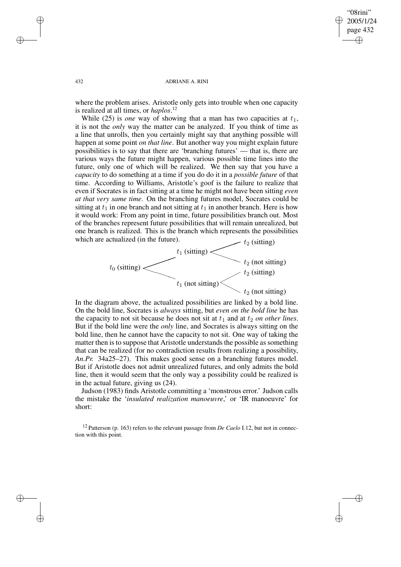✐

✐

#### 432 ADRIANE A. RINI

where the problem arises. Aristotle only gets into trouble when one capacity is realized at all times, or *haplos*. 12

While (25) is *one* way of showing that a man has two capacities at  $t_1$ , it is not the *only* way the matter can be analyzed. If you think of time as a line that unrolls, then you certainly might say that anything possible will happen at some point *on that line*. But another way you might explain future possibilities is to say that there are 'branching futures' — that is, there are various ways the future might happen, various possible time lines into the future, only one of which will be realized. We then say that you have a *capacity* to do something at a time if you do do it in a *possible future* of that time. According to Williams, Aristotle's goof is the failure to realize that even if Socrates is in fact sitting at a time he might not have been sitting *even at that very same time*. On the branching futures model, Socrates could be sitting at  $t_1$  in one branch and not sitting at  $t_1$  in another branch. Here is how it would work: From any point in time, future possibilities branch out. Most of the branches represent future possibilities that will remain unrealized, but one branch is realized. This is the branch which represents the possibilities which are actualized (in the future).  $t_2$  (sitting)



In the diagram above, the actualized possibilities are linked by a bold line. On the bold line, Socrates is *always* sitting, but *even on the bold line* he has the capacity to not sit because he does not sit at  $t_1$  and at  $t_2$  *on other lines.* But if the bold line were the *only* line, and Socrates is always sitting on the bold line, then he cannot have the capacity to not sit. One way of taking the matter then is to suppose that Aristotle understands the possible as something that can be realized (for no contradiction results from realizing a possibility, *An.Pr.* 34a25–27). This makes good sense on a branching futures model. But if Aristotle does not admit unrealized futures, and only admits the bold line, then it would seem that the only way a possibility could be realized is in the actual future, giving us (24).

Judson (1983) finds Aristotle committing a 'monstrous error.' Judson calls the mistake the '*insulated realization manoeuvre*,' or 'IR manoeuvre' for short:

<sup>12</sup> Patterson (p. 163) refers to the relevant passage from *De Caelo* I.12, but not in connection with this point.

✐

✐

✐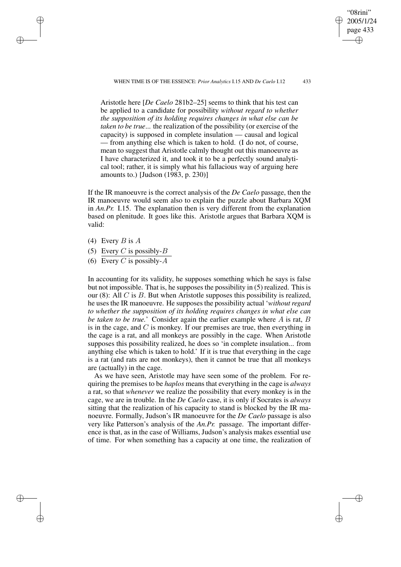WHEN TIME IS OF THE ESSENCE: *Prior Analytics* I.15 AND *De Caelo* I.12 433

Aristotle here [*De Caelo* 281b2–25] seems to think that his test can be applied to a candidate for possibility *without regard to whether the supposition of its holding requires changes in what else can be taken to be true*... the realization of the possibility (or exercise of the capacity) is supposed in complete insulation — causal and logical — from anything else which is taken to hold. (I do not, of course, mean to suggest that Aristotle calmly thought out this manoeuvre as I have characterized it, and took it to be a perfectly sound analytical tool; rather, it is simply what his fallacious way of arguing here amounts to.) [Judson (1983, p. 230)]

If the IR manoeuvre is the correct analysis of the *De Caelo* passage, then the IR manoeuvre would seem also to explain the puzzle about Barbara XQM in *An.Pr.* I.15. The explanation then is very different from the explanation based on plenitude. It goes like this. Aristotle argues that Barbara XQM is valid:

(4) Every  $B$  is  $A$ 

✐

✐

✐

✐

- (5) Every C is possibly- $B$
- (6) Every C is possibly- $A$

In accounting for its validity, he supposes something which he says is false but not impossible. That is, he supposes the possibility in  $(5)$  realized. This is our  $(8)$ : All C is B. But when Aristotle supposes this possibility is realized, he uses the IR manoeuvre. He supposes the possibility actual '*without regard to whether the supposition of its holding requires changes in what else can be taken to be true.*' Consider again the earlier example where A is rat, B is in the cage, and  $C$  is monkey. If our premises are true, then everything in the cage is a rat, and all monkeys are possibly in the cage. When Aristotle supposes this possibility realized, he does so 'in complete insulation... from anything else which is taken to hold.' If it is true that everything in the cage is a rat (and rats are not monkeys), then it cannot be true that all monkeys are (actually) in the cage.

As we have seen, Aristotle may have seen some of the problem. For requiring the premises to be *haplos* means that everything in the cage is *always* a rat, so that *whenever* we realize the possibility that every monkey is in the cage, we are in trouble. In the *De Caelo* case, it is only if Socrates is *always* sitting that the realization of his capacity to stand is blocked by the IR manoeuvre. Formally, Judson's IR manoeuvre for the *De Caelo* passage is also very like Patterson's analysis of the *An.Pr.* passage. The important difference is that, as in the case of Williams, Judson's analysis makes essential use of time. For when something has a capacity at one time, the realization of

"08rini" 2005/1/24 page 433

✐

✐

✐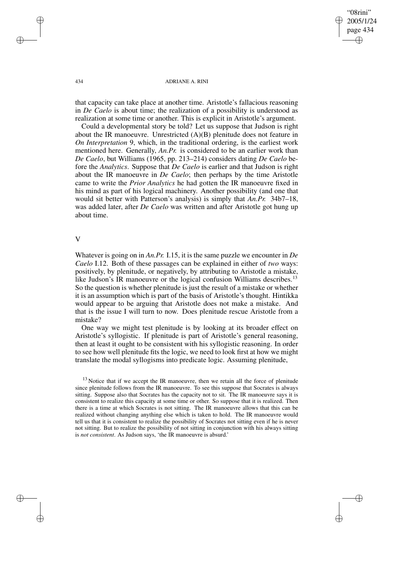"08rini" 2005/1/24 page 434 ✐ ✐

✐

✐

434 ADRIANE A. RINI

that capacity can take place at another time. Aristotle's fallacious reasoning in *De Caelo* is about time; the realization of a possibility is understood as realization at some time or another. This is explicit in Aristotle's argument.

Could a developmental story be told? Let us suppose that Judson is right about the IR manoeuvre. Unrestricted  $(A)(B)$  plenitude does not feature in *On Interpretation* 9, which, in the traditional ordering, is the earliest work mentioned here. Generally, *An.Pr.* is considered to be an earlier work than *De Caelo*, but Williams (1965, pp. 213–214) considers dating *De Caelo* before the *Analytics*. Suppose that *De Caelo* is earlier and that Judson is right about the IR manoeuvre in *De Caelo*; then perhaps by the time Aristotle came to write the *Prior Analytics* he had gotten the IR manoeuvre fixed in his mind as part of his logical machinery. Another possibility (and one that would sit better with Patterson's analysis) is simply that *An.Pr.* 34b7–18, was added later, after *De Caelo* was written and after Aristotle got hung up about time.

# V

Whatever is going on in *An.Pr.* I.15, it is the same puzzle we encounter in *De Caelo* I.12. Both of these passages can be explained in either of *two* ways: positively, by plenitude, or negatively, by attributing to Aristotle a mistake, like Judson's IR manoeuvre or the logical confusion Williams describes.<sup>13</sup> So the question is whether plenitude is just the result of a mistake or whether it is an assumption which is part of the basis of Aristotle's thought. Hintikka would appear to be arguing that Aristotle does not make a mistake. And that is the issue I will turn to now. Does plenitude rescue Aristotle from a mistake?

One way we might test plenitude is by looking at its broader effect on Aristotle's syllogistic. If plenitude is part of Aristotle's general reasoning, then at least it ought to be consistent with his syllogistic reasoning. In order to see how well plenitude fits the logic, we need to look first at how we might translate the modal syllogisms into predicate logic. Assuming plenitude,

✐

✐

✐

 $13$  Notice that if we accept the IR manoeuvre, then we retain all the force of plenitude since plenitude follows from the IR manoeuvre. To see this suppose that Socrates is always sitting. Suppose also that Socrates has the capacity not to sit. The IR manoeuvre says it is consistent to realize this capacity at some time or other. So suppose that it is realized. Then there is a time at which Socrates is not sitting. The IR manoeuvre allows that this can be realized without changing anything else which is taken to hold. The IR manoeuvre would tell us that it is consistent to realize the possibility of Socrates not sitting even if he is never not sitting. But to realize the possibility of not sitting in conjunction with his always sitting is *not consistent*. As Judson says, 'the IR manoeuvre is absurd.'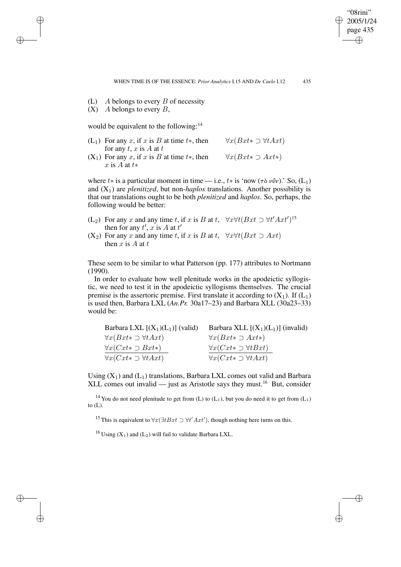"08rini" 2005/1/24 page 435 ✐ ✐

✐

✐

- (L)  $A$  belongs to every  $B$  of necessity
- $(X)$  A belongs to every B,

✐

✐

✐

✐

would be equivalent to the following:<sup>14</sup>

- (L<sub>1</sub>) For any x, if x is B at time  $t^*$ , then for any  $t, x$  is  $A$  at  $t$  $\forall x(Bxt\ast\supset \forall tAxt)$
- $(X_1)$  For any x, if x is B at time t<sup>\*</sup>, then x is  $A$  at  $t*$  $\forall x(Bxt\ast\supset Axt\ast)$

where t<sup>\*</sup> is a particular moment in time — i.e., t\* is 'now ( $\tau \delta \nu \hat{\nu} \nu$ ).' So, (L<sub>1</sub>) and  $(X_1)$  are *plenitized*, but non-*haplos* translations. Another possibility is that our translations ought to be both *plenitized* and *haplos*. So, perhaps, the following would be better:

- (L<sub>2</sub>) For any x and any time t, if x is B at t,  $\forall x \forall t (Bxt \supset \forall t' Axt')^{15}$ then for any  $t'$ , x is A at  $t'$
- $(X_2)$  For any x and any time t, if x is B at t,  $\forall x \forall t (Bxt \supset Axt)$ then  $x$  is  $A$  at  $t$

These seem to be similar to what Patterson (pp. 177) attributes to Nortmann (1990).

In order to evaluate how well plenitude works in the apodeictic syllogistic, we need to test it in the apodeictic syllogisms themselves. The crucial premise is the assertoric premise. First translate it according to  $(X_1)$ . If  $(L_1)$ is used then, Barbara LXL (*An.Pr.* 30a17–23) and Barbara XLL (30a23–33) would be:

| Barbara LXL $[(X_1)(L_1)]$ (valid)          | Barbara XLL $[(X_1)(L_1)]$ (invalid)        |
|---------------------------------------------|---------------------------------------------|
| $\forall x(Bxt \rightarrow \forall t Axt)$  | $\forall x(Bxt \ast \supset Axt \ast)$      |
| $\forall x (Cxt \in \bigcirc Bxt \ast)$     | $\forall x (Cxt \rightarrow \forall t Bxt)$ |
| $\forall x (Cxt \rightarrow \forall t Axt)$ | $\forall x (Cxt \rightarrow \forall t Axt)$ |

Using  $(X_1)$  and  $(L_1)$  translations, Barbara LXL comes out valid and Barbara XLL comes out invalid — just as Aristotle says they must.<sup>16</sup> But, consider

<sup>14</sup> You do not need plenitude to get from (L) to (L<sub>1</sub>), but you do need it to get from (L<sub>1</sub>) to  $(L)$ .

<sup>15</sup> This is equivalent to  $\forall x (\exists t Bxt \supset \forall t' \, Axt')$ , though nothing here turns on this.

<sup>16</sup> Using  $(X_1)$  and  $(L_2)$  will fail to validate Barbara LXL.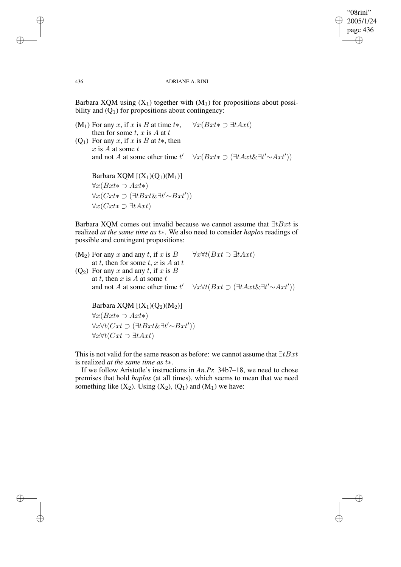✐

✐

#### 436 ADRIANE A. RINI

Barbara XQM using  $(X_1)$  together with  $(M_1)$  for propositions about possibility and  $(Q_1)$  for propositions about contingency:

(M<sub>1</sub>) For any x, if x is B at time  $t^*$ , then for some  $t$ ,  $x$  is  $A$  at  $t$  $\forall x(Bxt \in I \exists t Axt)$ (Q<sub>1</sub>) For any x, if x is B at t<sup>\*</sup>, then x is A at some  $t$ and not  $A$  at some other time  $t'$  $\forall x(Bxt \in \exists t \Delta x t \& \exists t' \sim \Delta x t')$ Barbara XQM  $[(X_1)(Q_1)(M_1)]$  $\forall x(Bxt\ast\supset Axt\ast)$  $\forall x (Cxt \in \exists t \exists t' \sim Bxt')$ ∀x(Cxt∗ ⊃ ∃tAxt)

Barbara XQM comes out invalid because we cannot assume that  $\exists t Bxt$  is realized *at the same time as* t∗. We also need to consider *haplos* readings of possible and contingent propositions:

 $(M<sub>2</sub>)$  For any x and any t, if x is B at t, then for some t, x is  $A$  at t  $\forall x \forall t (Bxt \supset \exists t Axt)$  $(Q_2)$  For any x and any t, if x is B at t, then x is A at some t and not  $A$  at some other time  $t'$  $\forall x \forall t (Bxt \supset (\exists t Axt \& \exists t' \sim Axt'))$ 

Barbara XQM  $[(X_1)(Q_2)(M_2)]$  $\forall x(Bxt \ast ∃ At*)$  $\forall x \forall t (Cxt \supset (\exists t Bxt \& \exists t' \sim Bxt'))$  $\forall x \forall t (Cxt \supset \overline{\exists t Axt})$ 

This is not valid for the same reason as before: we cannot assume that  $\exists t Bxt$ is realized *at the same time as* t∗.

If we follow Aristotle's instructions in *An.Pr.* 34b7–18, we need to chose premises that hold *haplos* (at all times), which seems to mean that we need something like  $(X_2)$ . Using  $(X_2)$ ,  $(Q_1)$  and  $(M_1)$  we have:

✐

✐

✐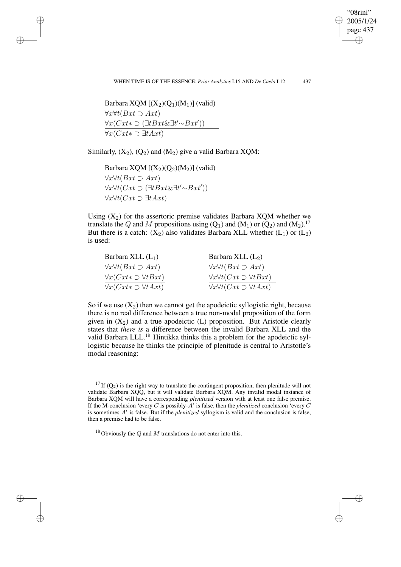"08rini" 2005/1/24 page 437 ✐ ✐

✐

✐

Barbara XQM  $[(X_2)(Q_1)(M_1)]$  (valid)  $\forall x \forall t (Bxt \supset Axt)$  $\forall x (Cxt \in \exists t \exists t' \sim Bxt')$  $\forall x (Cxt \in I \exists t Axt)$ 

✐

✐

✐

✐

Similarly,  $(X_2)$ ,  $(Q_2)$  and  $(M_2)$  give a valid Barbara XQM:

Barbara XQM  $[(X_2)(Q_2)(M_2)]$  (valid)  $\forall x \forall t (Bxt \supset Axt)$  $\forall x \forall t (Cxt \supset (\exists t Bxt \& \exists t' \sim Bxt'))$  $\sqrt{x\forall t(Cxt \supset \exists t \, Axt)}$ 

Using  $(X_2)$  for the assertoric premise validates Barbara XQM whether we translate the Q and M propositions using  $(Q_1)$  and  $(M_1)$  or  $(Q_2)$  and  $(M_2)$ .<sup>17</sup> But there is a catch:  $(X_2)$  also validates Barbara XLL whether  $(L_1)$  or  $(L_2)$ is used:

| Barbara XLL $(L_1)$                         | Barbara XLL $(L_2)$                               |
|---------------------------------------------|---------------------------------------------------|
| $\forall x \forall t (Bxt \supset Axt)$     | $\forall x \forall t (Bxt \supset Axt)$           |
| $\forall x (Cxt \rightarrow \forall tBxt)$  | $\forall x \forall t (Cxt \supset \forall t Bxt)$ |
| $\forall x (Cxt \rightarrow \forall t Axt)$ | $\forall x \forall t (Cxt \supset \forall t Axt)$ |

So if we use  $(X_2)$  then we cannot get the apodeictic syllogistic right, because there is no real difference between a true non-modal proposition of the form given in  $(X_2)$  and a true apodeictic (L) proposition. But Aristotle clearly states that *there is* a difference between the invalid Barbara XLL and the valid Barbara LLL.<sup>18</sup> Hintikka thinks this a problem for the apodeictic syllogistic because he thinks the principle of plenitude is central to Aristotle's modal reasoning:

<sup>&</sup>lt;sup>17</sup> If  $(Q_2)$  is the right way to translate the contingent proposition, then plenitude will not validate Barbara XQQ, but it will validate Barbara XQM. Any invalid modal instance of Barbara XQM will have a corresponding *plenitized* version with at least one false premise. If the M-conclusion 'every C is possibly-A' is false, then the *plenitized* conclusion 'every C is sometimes A' is false. But if the *plenitized* syllogism is valid and the conclusion is false, then a premise had to be false.

<sup>&</sup>lt;sup>18</sup> Obviously the Q and M translations do not enter into this.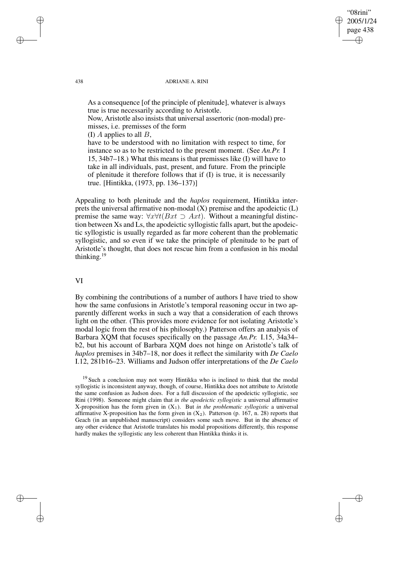#### 438 ADRIANE A. RINI

"08rini" 2005/1/24 page 438

✐

✐

✐

✐

As a consequence [of the principle of plenitude], whatever is always true is true necessarily according to Aristotle.

Now, Aristotle also insists that universal assertoric (non-modal) premisses, i.e. premisses of the form

(I)  $\Lambda$  applies to all  $\tilde{B}$ ,

have to be understood with no limitation with respect to time, for instance so as to be restricted to the present moment. (See *An.Pr.* I 15, 34b7–18.) What this means is that premisses like (I) will have to take in all individuals, past, present, and future. From the principle of plenitude it therefore follows that if (I) is true, it is necessarily true. [Hintikka, (1973, pp. 136–137)]

Appealing to both plenitude and the *haplos* requirement, Hintikka interprets the universal affirmative non-modal (X) premise and the apodeictic (L) premise the same way:  $\forall x \forall t (Bxt \supset Axt)$ . Without a meaningful distinction between Xs and Ls, the apodeictic syllogistic falls apart, but the apodeictic syllogistic is usually regarded as far more coherent than the problematic syllogistic, and so even if we take the principle of plenitude to be part of Aristotle's thought, that does not rescue him from a confusion in his modal thinking.<sup>19</sup>

## VI

By combining the contributions of a number of authors I have tried to show how the same confusions in Aristotle's temporal reasoning occur in two apparently different works in such a way that a consideration of each throws light on the other. (This provides more evidence for not isolating Aristotle's modal logic from the rest of his philosophy.) Patterson offers an analysis of Barbara XQM that focuses specifically on the passage *An.Pr.* I.15, 34a34– b2, but his account of Barbara XQM does not hinge on Aristotle's talk of *haplos* premises in 34b7–18, nor does it reflect the similarity with *De Caelo* I.12, 281b16–23. Williams and Judson offer interpretations of the *De Caelo*

✐

✐

✐

<sup>&</sup>lt;sup>19</sup> Such a conclusion may not worry Hintikka who is inclined to think that the modal syllogistic is inconsistent anyway, though, of course, Hintikka does not attribute to Aristotle the same confusion as Judson does. For a full discussion of the apodeictic syllogistic, see Rini (1998). Someone might claim that *in the apodeictic syllogistic* a universal affirmative X-proposition has the form given in  $(X_1)$ . But *in the problematic syllogistic* a universal affirmative X-proposition has the form given in  $(X_2)$ . Patterson (p. 167, n. 28) reports that Geach (in an unpublished manuscript) considers some such move. But in the absence of any other evidence that Aristotle translates his modal propositions differently, this response hardly makes the syllogistic any less coherent than Hintikka thinks it is.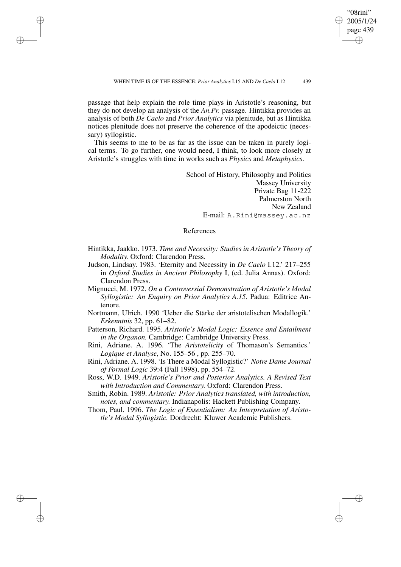passage that help explain the role time plays in Aristotle's reasoning, but they do not develop an analysis of the *An.Pr.* passage. Hintikka provides an analysis of both *De Caelo* and *Prior Analytics* via plenitude, but as Hintikka notices plenitude does not preserve the coherence of the apodeictic (necessary) syllogistic.

✐

✐

✐

✐

This seems to me to be as far as the issue can be taken in purely logical terms. To go further, one would need, I think, to look more closely at Aristotle's struggles with time in works such as *Physics* and *Metaphysics*.

> School of History, Philosophy and Politics Massey University Private Bag 11-222 Palmerston North New Zealand E-mail: A.Rini@massey.ac.nz

"08rini" 2005/1/24 page 439

✐

✐

✐

✐

## References

- Hintikka, Jaakko. 1973. *Time and Necessity: Studies in Aristotle's Theory of Modality.* Oxford: Clarendon Press.
- Judson, Lindsay. 1983. 'Eternity and Necessity in *De Caelo* I.12.' 217–255 in *Oxford Studies in Ancient Philosophy* I, (ed. Julia Annas). Oxford: Clarendon Press.
- Mignucci, M. 1972. *On a Controversial Demonstration of Aristotle's Modal Syllogistic: An Enquiry on Prior Analytics A.15.* Padua: Editrice Antenore.
- Nortmann, Ulrich. 1990 'Ueber die Stärke der aristotelischen Modallogik.' *Erkenntnis* 32, pp. 61–82.
- Patterson, Richard. 1995. *Aristotle's Modal Logic: Essence and Entailment in the Organon.* Cambridge: Cambridge University Press.
- Rini, Adriane. A. 1996. 'The *Aristotelicity* of Thomason's Semantics.' *Logique et Analyse*, No. 155–56 , pp. 255–70.
- Rini, Adriane. A. 1998. 'Is There a Modal Syllogistic?' *Notre Dame Journal of Formal Logic* 39:4 (Fall 1998), pp. 554–72.
- Ross, W.D. 1949. *Aristotle's Prior and Posterior Analytics. A Revised Text with Introduction and Commentary.* Oxford: Clarendon Press.
- Smith, Robin. 1989. *Aristotle: Prior Analytics translated, with introduction, notes, and commentary.* Indianapolis: Hackett Publishing Company.
- Thom, Paul. 1996. *The Logic of Essentialism: An Interpretation of Aristotle's Modal Syllogistic.* Dordrecht: Kluwer Academic Publishers.